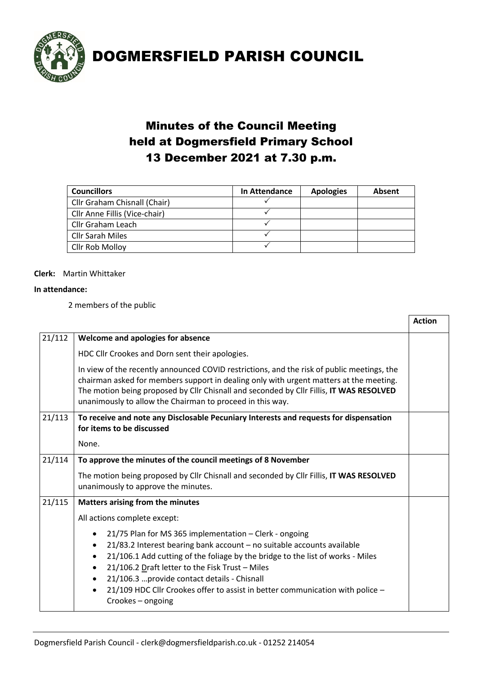

### Minutes of the Council Meeting held at Dogmersfield Primary School 13 December 2021 at 7.30 p.m.

| <b>Councillors</b>            | In Attendance | <b>Apologies</b> | Absent |
|-------------------------------|---------------|------------------|--------|
| Cllr Graham Chisnall (Chair)  |               |                  |        |
| Cllr Anne Fillis (Vice-chair) |               |                  |        |
| Cllr Graham Leach             |               |                  |        |
| <b>Cllr Sarah Miles</b>       |               |                  |        |
| Cllr Rob Molloy               |               |                  |        |

### **Clerk:** Martin Whittaker

#### **In attendance:**

2 members of the public

|        |                                                                                                                                                                                                                                                                                                                                                                                                                                                                                                   | <b>Action</b> |  |
|--------|---------------------------------------------------------------------------------------------------------------------------------------------------------------------------------------------------------------------------------------------------------------------------------------------------------------------------------------------------------------------------------------------------------------------------------------------------------------------------------------------------|---------------|--|
| 21/112 | Welcome and apologies for absence                                                                                                                                                                                                                                                                                                                                                                                                                                                                 |               |  |
|        | HDC Cllr Crookes and Dorn sent their apologies.                                                                                                                                                                                                                                                                                                                                                                                                                                                   |               |  |
|        | In view of the recently announced COVID restrictions, and the risk of public meetings, the<br>chairman asked for members support in dealing only with urgent matters at the meeting.<br>The motion being proposed by Cllr Chisnall and seconded by Cllr Fillis, IT WAS RESOLVED<br>unanimously to allow the Chairman to proceed in this way.                                                                                                                                                      |               |  |
| 21/113 | To receive and note any Disclosable Pecuniary Interests and requests for dispensation<br>for items to be discussed                                                                                                                                                                                                                                                                                                                                                                                |               |  |
|        | None.                                                                                                                                                                                                                                                                                                                                                                                                                                                                                             |               |  |
| 21/114 | To approve the minutes of the council meetings of 8 November                                                                                                                                                                                                                                                                                                                                                                                                                                      |               |  |
|        | The motion being proposed by Cllr Chisnall and seconded by Cllr Fillis, IT WAS RESOLVED<br>unanimously to approve the minutes.                                                                                                                                                                                                                                                                                                                                                                    |               |  |
| 21/115 | Matters arising from the minutes                                                                                                                                                                                                                                                                                                                                                                                                                                                                  |               |  |
|        | All actions complete except:                                                                                                                                                                                                                                                                                                                                                                                                                                                                      |               |  |
|        | 21/75 Plan for MS 365 implementation - Clerk - ongoing<br>٠<br>21/83.2 Interest bearing bank account - no suitable accounts available<br>$\bullet$<br>21/106.1 Add cutting of the foliage by the bridge to the list of works - Miles<br>$\bullet$<br>21/106.2 Draft letter to the Fisk Trust - Miles<br>$\bullet$<br>21/106.3  provide contact details - Chisnall<br>$\bullet$<br>21/109 HDC Cllr Crookes offer to assist in better communication with police -<br>$\bullet$<br>Crookes - ongoing |               |  |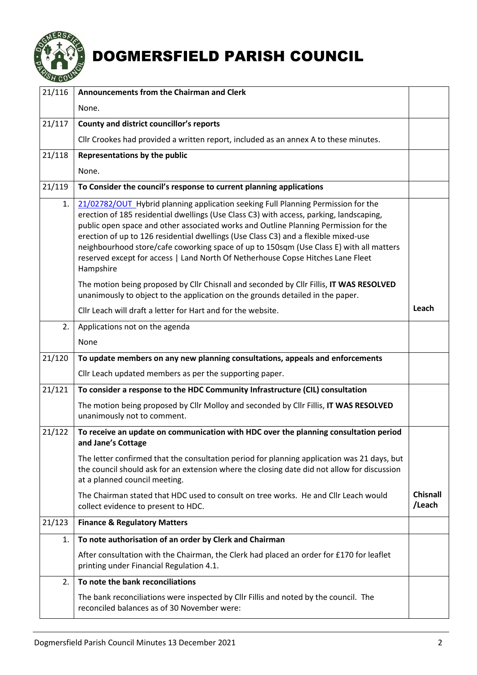

| 21/116 | Announcements from the Chairman and Clerk                                                                                                                                                                                                                                                                                                                                                                                                                                                                                                              |                           |
|--------|--------------------------------------------------------------------------------------------------------------------------------------------------------------------------------------------------------------------------------------------------------------------------------------------------------------------------------------------------------------------------------------------------------------------------------------------------------------------------------------------------------------------------------------------------------|---------------------------|
|        | None.                                                                                                                                                                                                                                                                                                                                                                                                                                                                                                                                                  |                           |
| 21/117 | County and district councillor's reports                                                                                                                                                                                                                                                                                                                                                                                                                                                                                                               |                           |
|        | Cllr Crookes had provided a written report, included as an annex A to these minutes.                                                                                                                                                                                                                                                                                                                                                                                                                                                                   |                           |
| 21/118 | Representations by the public                                                                                                                                                                                                                                                                                                                                                                                                                                                                                                                          |                           |
|        | None.                                                                                                                                                                                                                                                                                                                                                                                                                                                                                                                                                  |                           |
| 21/119 | To Consider the council's response to current planning applications                                                                                                                                                                                                                                                                                                                                                                                                                                                                                    |                           |
| 1.     | 21/02782/OUT Hybrid planning application seeking Full Planning Permission for the<br>erection of 185 residential dwellings (Use Class C3) with access, parking, landscaping,<br>public open space and other associated works and Outline Planning Permission for the<br>erection of up to 126 residential dwellings (Use Class C3) and a flexible mixed-use<br>neighbourhood store/cafe coworking space of up to 150sqm (Use Class E) with all matters<br>reserved except for access   Land North Of Netherhouse Copse Hitches Lane Fleet<br>Hampshire |                           |
|        | The motion being proposed by Cllr Chisnall and seconded by Cllr Fillis, IT WAS RESOLVED<br>unanimously to object to the application on the grounds detailed in the paper.                                                                                                                                                                                                                                                                                                                                                                              |                           |
|        | Cllr Leach will draft a letter for Hart and for the website.                                                                                                                                                                                                                                                                                                                                                                                                                                                                                           | Leach                     |
| 2.     | Applications not on the agenda                                                                                                                                                                                                                                                                                                                                                                                                                                                                                                                         |                           |
|        | None                                                                                                                                                                                                                                                                                                                                                                                                                                                                                                                                                   |                           |
| 21/120 | To update members on any new planning consultations, appeals and enforcements                                                                                                                                                                                                                                                                                                                                                                                                                                                                          |                           |
|        | Cllr Leach updated members as per the supporting paper.                                                                                                                                                                                                                                                                                                                                                                                                                                                                                                |                           |
| 21/121 | To consider a response to the HDC Community Infrastructure (CIL) consultation                                                                                                                                                                                                                                                                                                                                                                                                                                                                          |                           |
|        | The motion being proposed by Cllr Molloy and seconded by Cllr Fillis, IT WAS RESOLVED<br>unanimously not to comment.                                                                                                                                                                                                                                                                                                                                                                                                                                   |                           |
| 21/122 | To receive an update on communication with HDC over the planning consultation period<br>and Jane's Cottage                                                                                                                                                                                                                                                                                                                                                                                                                                             |                           |
|        | The letter confirmed that the consultation period for planning application was 21 days, but<br>the council should ask for an extension where the closing date did not allow for discussion<br>at a planned council meeting.                                                                                                                                                                                                                                                                                                                            |                           |
|        | The Chairman stated that HDC used to consult on tree works. He and Cllr Leach would<br>collect evidence to present to HDC.                                                                                                                                                                                                                                                                                                                                                                                                                             | <b>Chisnall</b><br>/Leach |
| 21/123 | <b>Finance &amp; Regulatory Matters</b>                                                                                                                                                                                                                                                                                                                                                                                                                                                                                                                |                           |
| 1.     | To note authorisation of an order by Clerk and Chairman                                                                                                                                                                                                                                                                                                                                                                                                                                                                                                |                           |
|        | After consultation with the Chairman, the Clerk had placed an order for £170 for leaflet<br>printing under Financial Regulation 4.1.                                                                                                                                                                                                                                                                                                                                                                                                                   |                           |
| 2.     | To note the bank reconciliations                                                                                                                                                                                                                                                                                                                                                                                                                                                                                                                       |                           |
|        | The bank reconciliations were inspected by Cllr Fillis and noted by the council. The<br>reconciled balances as of 30 November were:                                                                                                                                                                                                                                                                                                                                                                                                                    |                           |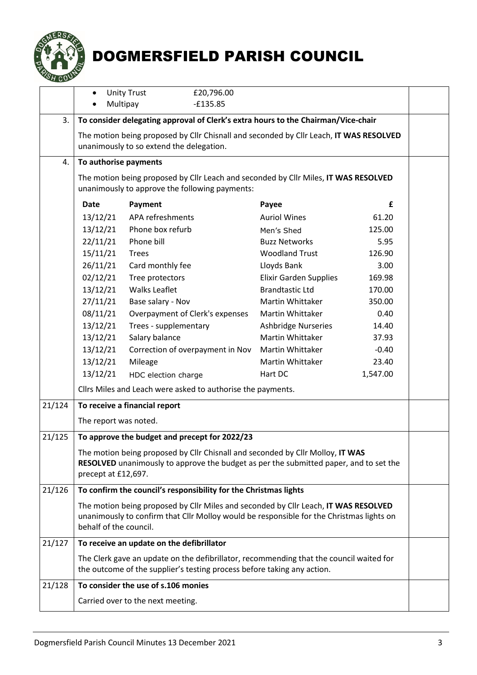

|        | $\bullet$                                                                                                                                                                                                 | <b>Unity Trust</b><br>£20,796.00 |                               |          |
|--------|-----------------------------------------------------------------------------------------------------------------------------------------------------------------------------------------------------------|----------------------------------|-------------------------------|----------|
|        | $-£135.85$<br>Multipay                                                                                                                                                                                    |                                  |                               |          |
| 3.     | To consider delegating approval of Clerk's extra hours to the Chairman/Vice-chair                                                                                                                         |                                  |                               |          |
|        | The motion being proposed by Cllr Chisnall and seconded by Cllr Leach, IT WAS RESOLVED                                                                                                                    |                                  |                               |          |
|        | unanimously to so extend the delegation.                                                                                                                                                                  |                                  |                               |          |
| 4.     | To authorise payments                                                                                                                                                                                     |                                  |                               |          |
|        | The motion being proposed by Cllr Leach and seconded by Cllr Miles, IT WAS RESOLVED<br>unanimously to approve the following payments:                                                                     |                                  |                               |          |
|        | <b>Date</b>                                                                                                                                                                                               | Payment                          | Payee                         | £        |
|        | 13/12/21                                                                                                                                                                                                  | APA refreshments                 | <b>Auriol Wines</b>           | 61.20    |
|        | 13/12/21                                                                                                                                                                                                  | Phone box refurb                 | Men's Shed                    | 125.00   |
|        | 22/11/21                                                                                                                                                                                                  | Phone bill                       | <b>Buzz Networks</b>          | 5.95     |
|        | 15/11/21                                                                                                                                                                                                  | <b>Trees</b>                     | <b>Woodland Trust</b>         | 126.90   |
|        | 26/11/21                                                                                                                                                                                                  | Card monthly fee                 | Lloyds Bank                   | 3.00     |
|        | 02/12/21                                                                                                                                                                                                  | Tree protectors                  | <b>Elixir Garden Supplies</b> | 169.98   |
|        | 13/12/21                                                                                                                                                                                                  | <b>Walks Leaflet</b>             | <b>Brandtastic Ltd</b>        | 170.00   |
|        | 27/11/21                                                                                                                                                                                                  | Base salary - Nov                | <b>Martin Whittaker</b>       | 350.00   |
|        | 08/11/21                                                                                                                                                                                                  | Overpayment of Clerk's expenses  | <b>Martin Whittaker</b>       | 0.40     |
|        | 13/12/21                                                                                                                                                                                                  | Trees - supplementary            | <b>Ashbridge Nurseries</b>    | 14.40    |
|        | 13/12/21                                                                                                                                                                                                  | Salary balance                   | Martin Whittaker              | 37.93    |
|        | 13/12/21                                                                                                                                                                                                  | Correction of overpayment in Nov | <b>Martin Whittaker</b>       | $-0.40$  |
|        | 13/12/21                                                                                                                                                                                                  | Mileage                          | Martin Whittaker              | 23.40    |
|        | 13/12/21                                                                                                                                                                                                  | HDC election charge              | Hart DC                       | 1,547.00 |
|        | Cllrs Miles and Leach were asked to authorise the payments.                                                                                                                                               |                                  |                               |          |
| 21/124 | To receive a financial report                                                                                                                                                                             |                                  |                               |          |
|        | The report was noted.                                                                                                                                                                                     |                                  |                               |          |
| 21/125 | To approve the budget and precept for 2022/23                                                                                                                                                             |                                  |                               |          |
|        | The motion being proposed by Cllr Chisnall and seconded by Cllr Molloy, IT WAS<br>RESOLVED unanimously to approve the budget as per the submitted paper, and to set the<br>precept at £12,697.            |                                  |                               |          |
| 21/126 | To confirm the council's responsibility for the Christmas lights                                                                                                                                          |                                  |                               |          |
|        | The motion being proposed by Cllr Miles and seconded by Cllr Leach, IT WAS RESOLVED<br>unanimously to confirm that Cllr Molloy would be responsible for the Christmas lights on<br>behalf of the council. |                                  |                               |          |
| 21/127 | To receive an update on the defibrillator                                                                                                                                                                 |                                  |                               |          |
|        | The Clerk gave an update on the defibrillator, recommending that the council waited for<br>the outcome of the supplier's testing process before taking any action.                                        |                                  |                               |          |
| 21/128 | To consider the use of s.106 monies                                                                                                                                                                       |                                  |                               |          |
|        | Carried over to the next meeting.                                                                                                                                                                         |                                  |                               |          |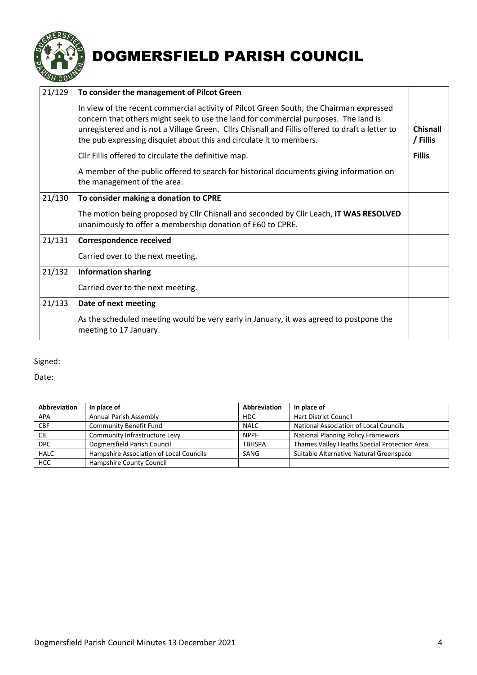

| 21/129 | To consider the management of Pilcot Green                                                                                                                                                                                                                                                                                                               |                      |
|--------|----------------------------------------------------------------------------------------------------------------------------------------------------------------------------------------------------------------------------------------------------------------------------------------------------------------------------------------------------------|----------------------|
|        | In view of the recent commercial activity of Pilcot Green South, the Chairman expressed<br>concern that others might seek to use the land for commercial purposes. The land is<br>unregistered and is not a Village Green. Cllrs Chisnall and Fillis offered to draft a letter to<br>the pub expressing disquiet about this and circulate it to members. | Chisnall<br>/ Fillis |
|        | Cllr Fillis offered to circulate the definitive map.                                                                                                                                                                                                                                                                                                     | <b>Fillis</b>        |
|        | A member of the public offered to search for historical documents giving information on<br>the management of the area.                                                                                                                                                                                                                                   |                      |
| 21/130 | To consider making a donation to CPRE                                                                                                                                                                                                                                                                                                                    |                      |
|        | The motion being proposed by Cllr Chisnall and seconded by Cllr Leach, IT WAS RESOLVED<br>unanimously to offer a membership donation of £60 to CPRE.                                                                                                                                                                                                     |                      |
| 21/131 | <b>Correspondence received</b>                                                                                                                                                                                                                                                                                                                           |                      |
|        | Carried over to the next meeting.                                                                                                                                                                                                                                                                                                                        |                      |
| 21/132 | <b>Information sharing</b>                                                                                                                                                                                                                                                                                                                               |                      |
|        | Carried over to the next meeting.                                                                                                                                                                                                                                                                                                                        |                      |
| 21/133 | Date of next meeting                                                                                                                                                                                                                                                                                                                                     |                      |
|        | As the scheduled meeting would be very early in January, it was agreed to postpone the<br>meeting to 17 January.                                                                                                                                                                                                                                         |                      |

Signed:

Date:

| Abbreviation | In place of                             | Abbreviation    | In place of                                  |
|--------------|-----------------------------------------|-----------------|----------------------------------------------|
| <b>APA</b>   | Annual Parish Assembly                  | H <sub>DC</sub> | <b>Hart District Council</b>                 |
| <b>CBF</b>   | Community Benefit Fund                  | <b>NALC</b>     | National Association of Local Councils       |
| <b>CIL</b>   | Community Infrastructure Levy           | <b>NPPF</b>     | <b>National Planning Policy Framework</b>    |
| <b>DPC</b>   | Dogmersfield Parish Council             | <b>TBHSPA</b>   | Thames Valley Heaths Special Protection Area |
| <b>HALC</b>  | Hampshire Association of Local Councils | SANG            | Suitable Alternative Natural Greenspace      |
| HCC          | Hampshire County Council                |                 |                                              |